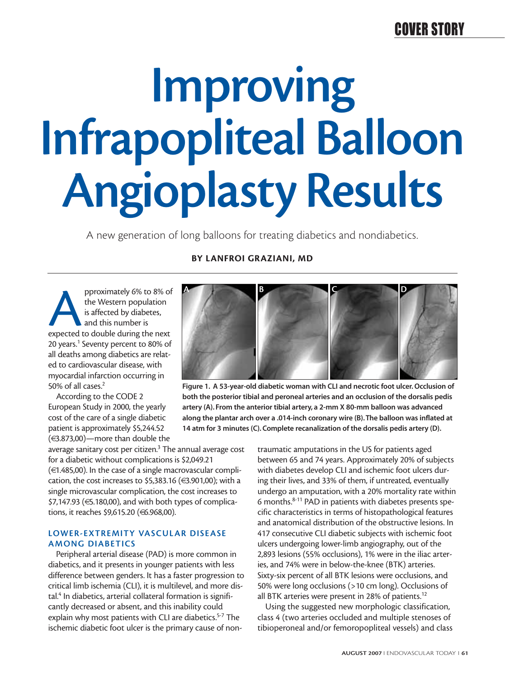## COVER STORY

# **Improving Infrapopliteal Balloon Angioplasty Results**

A new generation of long balloons for treating diabetics and nondiabetics.

pproximately 6% to 8% of<br>the Western population<br>is affected by diabetes,<br>expected to double during the next the Western population is affected by diabetes, and this number is 20 years.<sup>1</sup> Seventy percent to 80% of all deaths among diabetics are related to cardiovascular disease, with myocardial infarction occurring in 50% of all cases.<sup>2</sup>

According to the CODE 2 European Study in 2000, the yearly cost of the care of a single diabetic patient is approximately \$5,244.52 (€3.873,00)—more than double the

average sanitary cost per citizen. $3$  The annual average cost for a diabetic without complications is \$2,049.21 (€1.485,00). In the case of a single macrovascular complication, the cost increases to \$5,383.16 ( $\in$ 3.901,00); with a single microvascular complication, the cost increases to  $$7,147.93 \ (\in $180,00)$ , and with both types of complications, it reaches \$9,615.20 (€6.968,00).

#### **LOWER-EXTREMITY VASCULAR DISEASE AMONG DIABETICS**

Peripheral arterial disease (PAD) is more common in diabetics, and it presents in younger patients with less difference between genders. It has a faster progression to critical limb ischemia (CLI), it is multilevel, and more distal.4 In diabetics, arterial collateral formation is significantly decreased or absent, and this inability could explain why most patients with CLI are diabetics.<sup>5-7</sup> The ischemic diabetic foot ulcer is the primary cause of non-

### **BY LANFROI GRAZIANI, MD**



**Figure 1. A 53-year-old diabetic woman with CLI and necrotic foot ulcer. Occlusion of both the posterior tibial and peroneal arteries and an occlusion of the dorsalis pedis artery (A). From the anterior tibial artery, a 2-mm X 80-mm balloon was advanced along the plantar arch over a .014-inch coronary wire (B).The balloon was inflated at 14 atm for 3 minutes (C). Complete recanalization of the dorsalis pedis artery (D).**

traumatic amputations in the US for patients aged between 65 and 74 years. Approximately 20% of subjects with diabetes develop CLI and ischemic foot ulcers during their lives, and 33% of them, if untreated, eventually undergo an amputation, with a 20% mortality rate within 6 months.8-11 PAD in patients with diabetes presents specific characteristics in terms of histopathological features and anatomical distribution of the obstructive lesions. In 417 consecutive CLI diabetic subjects with ischemic foot ulcers undergoing lower-limb angiography, out of the 2,893 lesions (55% occlusions), 1% were in the iliac arteries, and 74% were in below-the-knee (BTK) arteries. Sixty-six percent of all BTK lesions were occlusions, and 50% were long occlusions (>10 cm long). Occlusions of all BTK arteries were present in 28% of patients.<sup>12</sup>

Using the suggested new morphologic classification, class 4 (two arteries occluded and multiple stenoses of tibioperoneal and/or femoropopliteal vessels) and class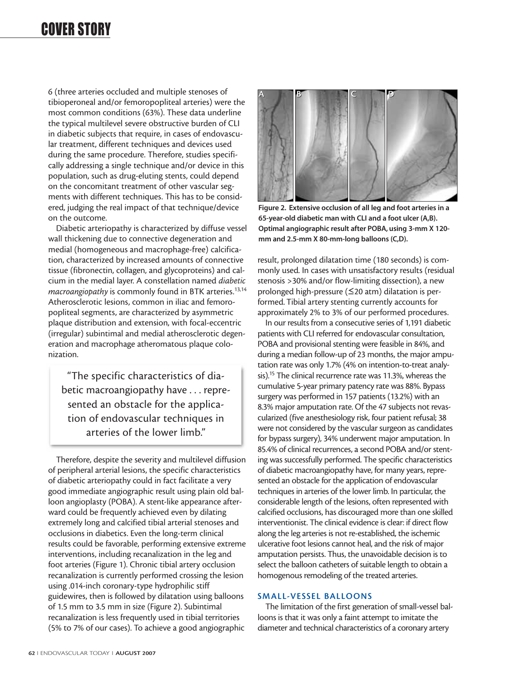# COVER STORY

6 (three arteries occluded and multiple stenoses of tibioperoneal and/or femoropopliteal arteries) were the most common conditions (63%). These data underline the typical multilevel severe obstructive burden of CLI in diabetic subjects that require, in cases of endovascular treatment, different techniques and devices used during the same procedure. Therefore, studies specifically addressing a single technique and/or device in this population, such as drug-eluting stents, could depend on the concomitant treatment of other vascular segments with different techniques. This has to be considered, judging the real impact of that technique/device on the outcome.

Diabetic arteriopathy is characterized by diffuse vessel wall thickening due to connective degeneration and medial (homogeneous and macrophage-free) calcification, characterized by increased amounts of connective tissue (fibronectin, collagen, and glycoproteins) and calcium in the medial layer. A constellation named *diabetic macroangiopathy* is commonly found in BTK arteries.13,14 Atherosclerotic lesions, common in iliac and femoropopliteal segments, are characterized by asymmetric plaque distribution and extension, with focal-eccentric (irregular) subintimal and medial atherosclerotic degeneration and macrophage atheromatous plaque colonization.

"The specific characteristics of diabetic macroangiopathy have . . . represented an obstacle for the application of endovascular techniques in arteries of the lower limb."

Therefore, despite the severity and multilevel diffusion of peripheral arterial lesions, the specific characteristics of diabetic arteriopathy could in fact facilitate a very good immediate angiographic result using plain old balloon angioplasty (POBA). A stent-like appearance afterward could be frequently achieved even by dilating extremely long and calcified tibial arterial stenoses and occlusions in diabetics. Even the long-term clinical results could be favorable, performing extensive extreme interventions, including recanalization in the leg and foot arteries (Figure 1). Chronic tibial artery occlusion recanalization is currently performed crossing the lesion using .014-inch coronary-type hydrophilic stiff guidewires, then is followed by dilatation using balloons of 1.5 mm to 3.5 mm in size (Figure 2). Subintimal recanalization is less frequently used in tibial territories (5% to 7% of our cases). To achieve a good angiographic



**Figure 2. Extensive occlusion of all leg and foot arteries in a 65-year-old diabetic man with CLI and a foot ulcer (A,B). Optimal angiographic result after POBA, using 3-mm X 120 mm and 2.5-mm X 80-mm-long balloons (C,D).**

result, prolonged dilatation time (180 seconds) is commonly used. In cases with unsatisfactory results (residual stenosis >30% and/or flow-limiting dissection), a new prolonged high-pressure (≤20 atm) dilatation is performed. Tibial artery stenting currently accounts for approximately 2% to 3% of our performed procedures.

In our results from a consecutive series of 1,191 diabetic patients with CLI referred for endovascular consultation, POBA and provisional stenting were feasible in 84%, and during a median follow-up of 23 months, the major amputation rate was only 1.7% (4% on intention-to-treat analysis).<sup>15</sup> The clinical recurrence rate was 11.3%, whereas the cumulative 5-year primary patency rate was 88%. Bypass surgery was performed in 157 patients (13.2%) with an 8.3% major amputation rate. Of the 47 subjects not revascularized (five anesthesiology risk, four patient refusal; 38 were not considered by the vascular surgeon as candidates for bypass surgery), 34% underwent major amputation. In 85.4% of clinical recurrences, a second POBA and/or stenting was successfully performed. The specific characteristics of diabetic macroangiopathy have, for many years, represented an obstacle for the application of endovascular techniques in arteries of the lower limb. In particular, the considerable length of the lesions, often represented with calcified occlusions, has discouraged more than one skilled interventionist. The clinical evidence is clear: if direct flow along the leg arteries is not re-established, the ischemic ulcerative foot lesions cannot heal, and the risk of major amputation persists. Thus, the unavoidable decision is to select the balloon catheters of suitable length to obtain a homogenous remodeling of the treated arteries.

#### **SMALL-VESSEL BALLOONS**

The limitation of the first generation of small-vessel balloons is that it was only a faint attempt to imitate the diameter and technical characteristics of a coronary artery